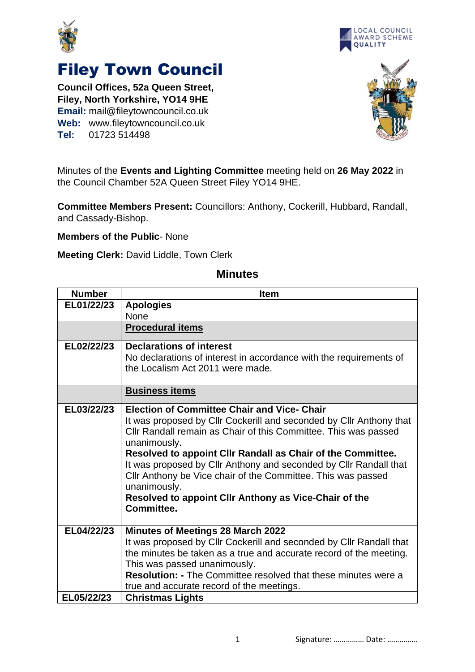



## Filey Town Council

**Council Offices, 52a Queen Street, Filey, North Yorkshire, YO14 9HE Email:** mail@fileytowncouncil.co.uk **Web:** www.fileytowncouncil.co.uk **Tel:** 01723 514498



Minutes of the **Events and Lighting Committee** meeting held on **26 May 2022** in the Council Chamber 52A Queen Street Filey YO14 9HE.

**Committee Members Present:** Councillors: Anthony, Cockerill, Hubbard, Randall, and Cassady-Bishop.

**Members of the Public**- None

**Meeting Clerk:** David Liddle, Town Clerk

| <b>Number</b> | <b>Item</b>                                                                                                                                                                                                                                                                                                                                                                                                                                                                                             |
|---------------|---------------------------------------------------------------------------------------------------------------------------------------------------------------------------------------------------------------------------------------------------------------------------------------------------------------------------------------------------------------------------------------------------------------------------------------------------------------------------------------------------------|
| EL01/22/23    | <b>Apologies</b>                                                                                                                                                                                                                                                                                                                                                                                                                                                                                        |
|               | <b>None</b>                                                                                                                                                                                                                                                                                                                                                                                                                                                                                             |
|               | <b>Procedural items</b>                                                                                                                                                                                                                                                                                                                                                                                                                                                                                 |
| EL02/22/23    | <b>Declarations of interest</b><br>No declarations of interest in accordance with the requirements of<br>the Localism Act 2011 were made.                                                                                                                                                                                                                                                                                                                                                               |
|               | <b>Business items</b>                                                                                                                                                                                                                                                                                                                                                                                                                                                                                   |
| EL03/22/23    | <b>Election of Committee Chair and Vice- Chair</b><br>It was proposed by Clir Cockerill and seconded by Clir Anthony that<br>CIIr Randall remain as Chair of this Committee. This was passed<br>unanimously.<br>Resolved to appoint CIIr Randall as Chair of the Committee.<br>It was proposed by Cllr Anthony and seconded by Cllr Randall that<br>Cllr Anthony be Vice chair of the Committee. This was passed<br>unanimously.<br>Resolved to appoint Cllr Anthony as Vice-Chair of the<br>Committee. |
| EL04/22/23    | <b>Minutes of Meetings 28 March 2022</b><br>It was proposed by Cllr Cockerill and seconded by Cllr Randall that<br>the minutes be taken as a true and accurate record of the meeting.<br>This was passed unanimously.<br><b>Resolution: - The Committee resolved that these minutes were a</b><br>true and accurate record of the meetings.                                                                                                                                                             |
| EL05/22/23    | <b>Christmas Lights</b>                                                                                                                                                                                                                                                                                                                                                                                                                                                                                 |

## **Minutes**